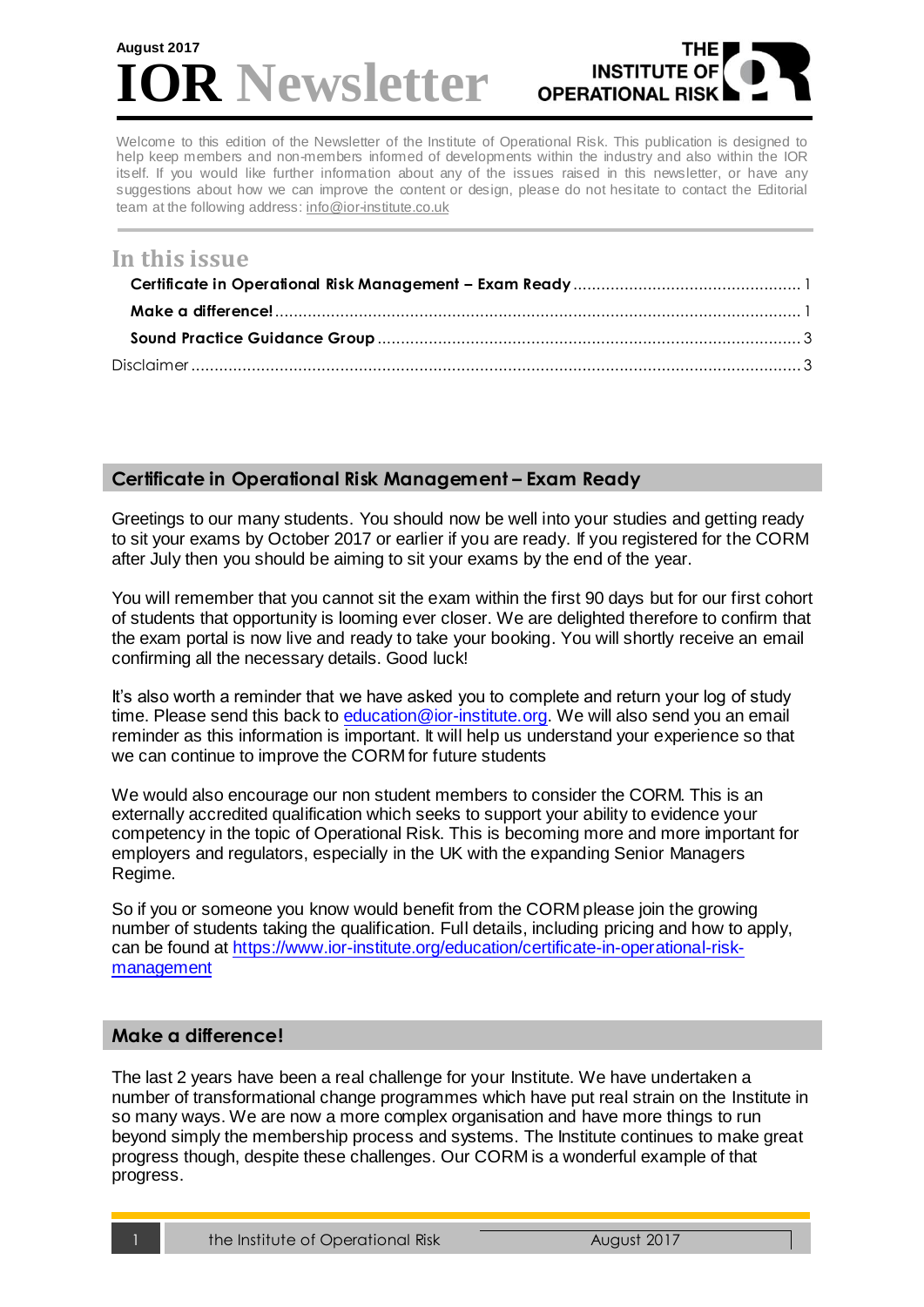# **R** Newsletter **August 2017**



Welcome to this edition of the Newsletter of the Institute of Operational Risk. This publication is designed to help keep members and non-members informed of developments within the industry and also within the IOR itself. If you would like further information about any of the issues raised in this newsletter, or have any suggestions about how we can improve the content or design, please do not hesitate to contact the Editorial team at the following address[: info@ior-institute.co.uk](mailto:info@ior-institute.co.uk)

# **In this issue**

## <span id="page-0-0"></span>**Certificate in Operational Risk Management – Exam Ready**

Greetings to our many students. You should now be well into your studies and getting ready to sit your exams by October 2017 or earlier if you are ready. If you registered for the CORM after July then you should be aiming to sit your exams by the end of the year.

You will remember that you cannot sit the exam within the first 90 days but for our first cohort of students that opportunity is looming ever closer. We are delighted therefore to confirm that the exam portal is now live and ready to take your booking. You will shortly receive an email confirming all the necessary details. Good luck!

It's also worth a reminder that we have asked you to complete and return your log of study time. Please send this back to [education@ior-institute.org.](mailto:education@ior-institute.org) We will also send you an email reminder as this information is important. It will help us understand your experience so that we can continue to improve the CORM for future students

We would also encourage our non student members to consider the CORM. This is an externally accredited qualification which seeks to support your ability to evidence your competency in the topic of Operational Risk. This is becoming more and more important for employers and regulators, especially in the UK with the expanding Senior Managers Regime.

So if you or someone you know would benefit from the CORM please join the growing number of students taking the qualification. Full details, including pricing and how to apply, can be found at [https://www.ior-institute.org/education/certificate-in-operational-risk](https://www.ior-institute.org/education/certificate-in-operational-risk-management)[management](https://www.ior-institute.org/education/certificate-in-operational-risk-management)

### <span id="page-0-1"></span>**Make a difference!**

The last 2 years have been a real challenge for your Institute. We have undertaken a number of transformational change programmes which have put real strain on the Institute in so many ways. We are now a more complex organisation and have more things to run beyond simply the membership process and systems. The Institute continues to make great progress though, despite these challenges. Our CORM is a wonderful example of that progress.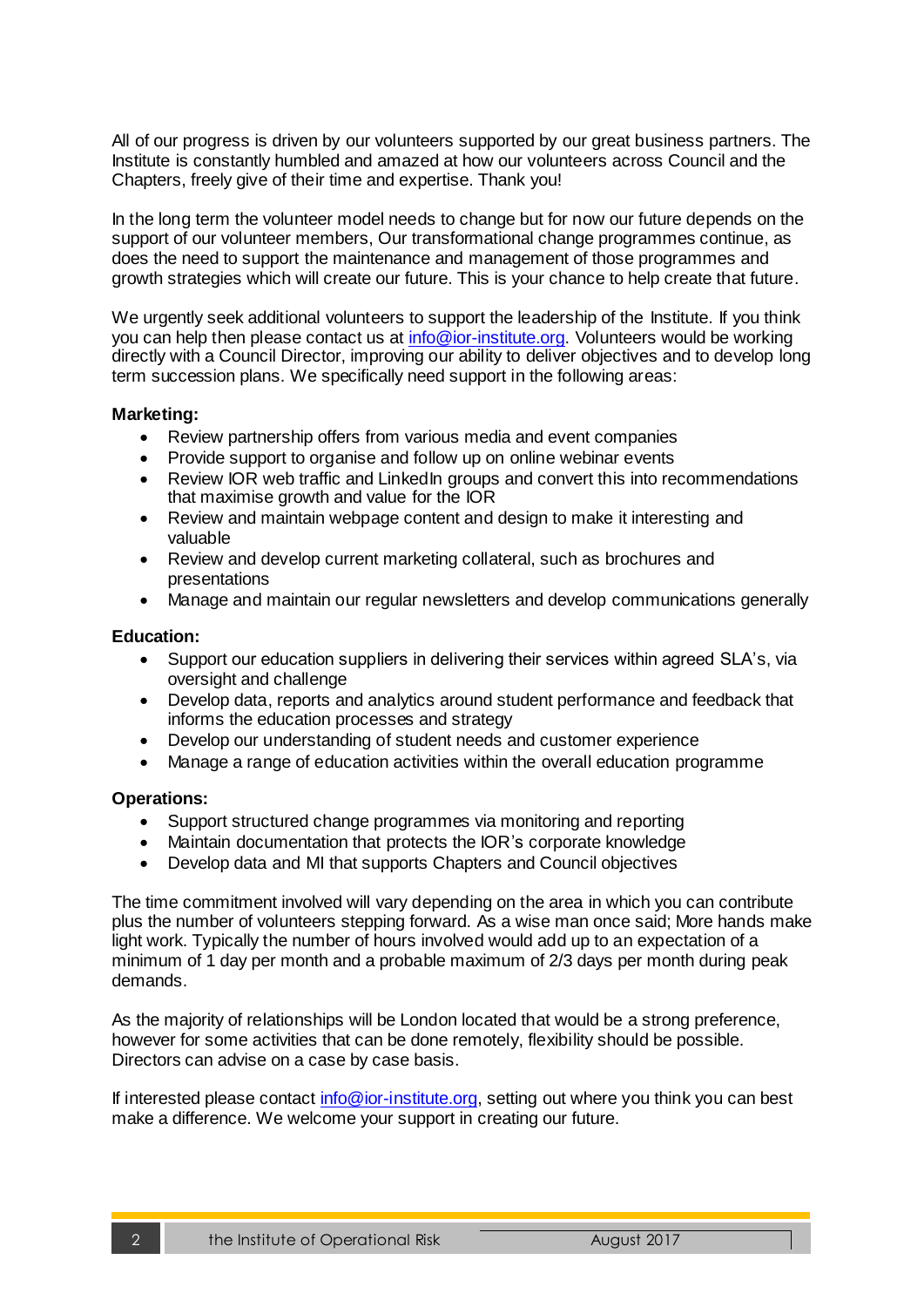All of our progress is driven by our volunteers supported by our great business partners. The Institute is constantly humbled and amazed at how our volunteers across Council and the Chapters, freely give of their time and expertise. Thank you!

In the long term the volunteer model needs to change but for now our future depends on the support of our volunteer members, Our transformational change programmes continue, as does the need to support the maintenance and management of those programmes and growth strategies which will create our future. This is your chance to help create that future.

We urgently seek additional volunteers to support the leadership of the Institute. If you think you can help then please contact us at [info@ior-institute.org.](mailto:info@ior-institute.org) Volunteers would be working directly with a Council Director, improving our ability to deliver objectives and to develop long term succession plans. We specifically need support in the following areas:

#### **Marketing:**

- Review partnership offers from various media and event companies
- Provide support to organise and follow up on online webinar events
- Review IOR web traffic and LinkedIn groups and convert this into recommendations that maximise growth and value for the IOR
- Review and maintain webpage content and design to make it interesting and valuable
- Review and develop current marketing collateral, such as brochures and presentations
- Manage and maintain our regular newsletters and develop communications generally

#### **Education:**

- Support our education suppliers in delivering their services within agreed SLA's, via oversight and challenge
- Develop data, reports and analytics around student performance and feedback that informs the education processes and strategy
- Develop our understanding of student needs and customer experience
- Manage a range of education activities within the overall education programme

#### **Operations:**

- Support structured change programmes via monitoring and reporting
- Maintain documentation that protects the IOR's corporate knowledge
- Develop data and MI that supports Chapters and Council objectives

The time commitment involved will vary depending on the area in which you can contribute plus the number of volunteers stepping forward. As a wise man once said; More hands make light work. Typically the number of hours involved would add up to an expectation of a minimum of 1 day per month and a probable maximum of 2/3 days per month during peak demands.

As the majority of relationships will be London located that would be a strong preference, however for some activities that can be done remotely, flexibility should be possible. Directors can advise on a case by case basis.

If interested please contact [info@ior-institute.org,](mailto:info@ior-institute.org) setting out where you think you can best make a difference. We welcome your support in creating our future.